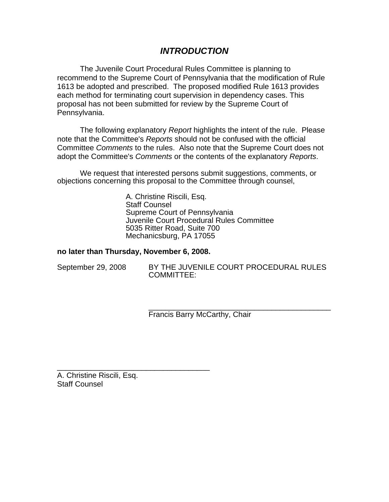# *INTRODUCTION*

The Juvenile Court Procedural Rules Committee is planning to recommend to the Supreme Court of Pennsylvania that the modification of Rule 1613 be adopted and prescribed. The proposed modified Rule 1613 provides each method for terminating court supervision in dependency cases. This proposal has not been submitted for review by the Supreme Court of Pennsylvania.

The following explanatory *Report* highlights the intent of the rule. Please note that the Committee's *Reports* should not be confused with the official Committee *Comments* to the rules. Also note that the Supreme Court does not adopt the Committee's *Comments* or the contents of the explanatory *Reports*.

We request that interested persons submit suggestions, comments, or objections concerning this proposal to the Committee through counsel,

> A. Christine Riscili, Esq. Staff Counsel Supreme Court of Pennsylvania Juvenile Court Procedural Rules Committee 5035 Ritter Road, Suite 700 Mechanicsburg, PA 17055

### **no later than Thursday, November 6, 2008.**

\_\_\_\_\_\_\_\_\_\_\_\_\_\_\_\_\_\_\_\_\_\_\_\_\_\_\_\_\_\_\_\_\_\_\_\_

| September 29, 2008 |  |
|--------------------|--|
|--------------------|--|

BY THE JUVENILE COURT PROCEDURAL RULES COMMITTEE:

\_\_\_\_\_\_\_\_\_\_\_\_\_\_\_\_\_\_\_\_\_\_\_\_\_\_\_\_\_\_\_\_\_\_\_\_\_\_\_\_\_\_\_ Francis Barry McCarthy, Chair

A. Christine Riscili, Esq. Staff Counsel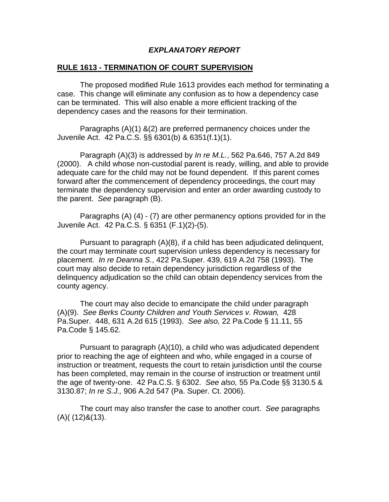### *EXPLANATORY REPORT*

### **RULE 1613 - TERMINATION OF COURT SUPERVISION**

 The proposed modified Rule 1613 provides each method for terminating a case. This change will eliminate any confusion as to how a dependency case can be terminated. This will also enable a more efficient tracking of the dependency cases and the reasons for their termination.

 Paragraphs (A)(1) &(2) are preferred permanency choices under the Juvenile Act. 42 Pa.C.S. §§ 6301(b) & 6351(f.1)(1).

 Paragraph (A)(3) is addressed by *In re M.L.*, 562 Pa.646, 757 A.2d 849 (2000). A child whose non-custodial parent is ready, willing, and able to provide adequate care for the child may not be found dependent. If this parent comes forward after the commencement of dependency proceedings, the court may terminate the dependency supervision and enter an order awarding custody to the parent. *See* paragraph (B).

 Paragraphs (A) (4) - (7) are other permanency options provided for in the Juvenile Act. 42 Pa.C.S. § 6351 (F.1)(2)-(5).

 Pursuant to paragraph (A)(8), if a child has been adjudicated delinquent, the court may terminate court supervision unless dependency is necessary for placement. *In re Deanna S.*, 422 Pa.Super. 439, 619 A.2d 758 (1993). The court may also decide to retain dependency jurisdiction regardless of the delinquency adjudication so the child can obtain dependency services from the county agency.

The court may also decide to emancipate the child under paragraph (A)(9). *See Berks County Children and Youth Services v. Rowan,* 428 Pa.Super. 448, 631 A.2d 615 (1993). *See also,* 22 Pa.Code § 11.11, 55 Pa.Code § 145.62.

Pursuant to paragraph (A)(10), a child who was adjudicated dependent prior to reaching the age of eighteen and who, while engaged in a course of instruction or treatment, requests the court to retain jurisdiction until the course has been completed, may remain in the course of instruction or treatment until the age of twenty-one. 42 Pa.C.S. § 6302. *See also,* 55 Pa.Code §§ 3130.5 & 3130.87; *In re S.J.,* 906 A.2d 547 (Pa. Super. Ct. 2006).

The court may also transfer the case to another court. *See* paragraphs (A)( (12)&(13).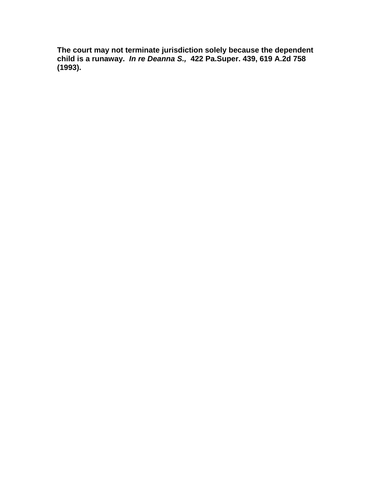**The court may not terminate jurisdiction solely because the dependent child is a runaway.** *In re Deanna S.,* **422 Pa.Super. 439, 619 A.2d 758 (1993).**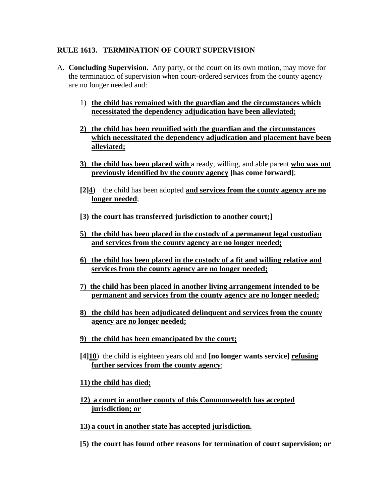## **RULE 1613. TERMINATION OF COURT SUPERVISION**

- A. **Concluding Supervision.** Any party, or the court on its own motion, may move for the termination of supervision when court-ordered services from the county agency are no longer needed and:
	- 1) **the child has remained with the guardian and the circumstances which necessitated the dependency adjudication have been alleviated;**
	- **2) the child has been reunified with the guardian and the circumstances which necessitated the dependency adjudication and placement have been alleviated;**
	- **3) the child has been placed with** a ready, willing, and able parent **who was not previously identified by the county agency [has come forward]**;
	- **[2]4**) the child has been adopted **and services from the county agency are no longer needed**;
	- **[3) the court has transferred jurisdiction to another court;]**
	- **5) the child has been placed in the custody of a permanent legal custodian and services from the county agency are no longer needed;**
	- **6) the child has been placed in the custody of a fit and willing relative and services from the county agency are no longer needed;**
	- **7) the child has been placed in another living arrangement intended to be permanent and services from the county agency are no longer needed;**
	- **8) the child has been adjudicated delinquent and services from the county agency are no longer needed;**
	- **9) the child has been emancipated by the court;**
	- **[4]10**) the child is eighteen years old and **[no longer wants service] refusing further services from the county agency**;

### **11) the child has died;**

- **12) a court in another county of this Commonwealth has accepted jurisdiction; or**
- **13) a court in another state has accepted jurisdiction.**
- **[5) the court has found other reasons for termination of court supervision; or**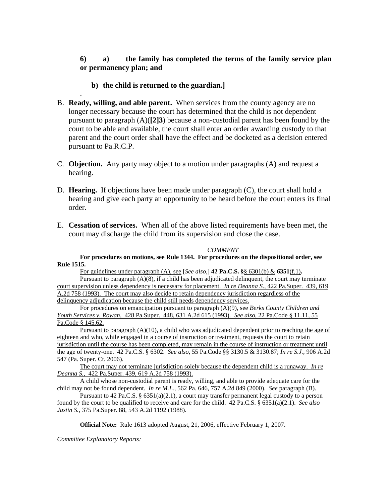### **6) a) the family has completed the terms of the family service plan or permanency plan; and**

### **b) the child is returned to the guardian.]**

.

- B. **Ready, willing, and able parent.** When services from the county agency are no longer necessary because the court has determined that the child is not dependent pursuant to paragraph (A)(**[2]3**) because a non-custodial parent has been found by the court to be able and available, the court shall enter an order awarding custody to that parent and the court order shall have the effect and be docketed as a decision entered pursuant to Pa.R.C.P.
- C. **Objection.** Any party may object to a motion under paragraphs (A) and request a hearing.
- D. **Hearing.** If objections have been made under paragraph (C), the court shall hold a hearing and give each party an opportunity to be heard before the court enters its final order.
- E. **Cessation of services.** When all of the above listed requirements have been met, the court may discharge the child from its supervision and close the case.

#### *COMMENT*

**For procedures on motions, see Rule 1344. For procedures on the dispositional order, see Rule 1515.** 

For guidelines under paragraph (A), see [*See also*,] **42 Pa.C.S. §**§ 6301(b) & **6351**(f.1)**.** 

Pursuant to paragraph (A)(8), if a child has been adjudicated delinquent, the court may terminate court supervision unless dependency is necessary for placement. *In re Deanna S.*, 422 Pa.Super. 439, 619 A.2d 758 (1993). The court may also decide to retain dependency jurisdiction regardless of the delinquency adjudication because the child still needs dependency services.

For procedures on emancipation pursuant to paragraph (A)(9), see *Berks County Children and Youth Services v. Rowan,* 428 Pa.Super. 448, 631 A.2d 615 (1993). *See also,* 22 Pa.Code § 11.11, 55 Pa.Code § 145.62.

Pursuant to paragraph  $(A)(10)$ , a child who was adjudicated dependent prior to reaching the age of eighteen and who, while engaged in a course of instruction or treatment, requests the court to retain jurisdiction until the course has been completed, may remain in the course of instruction or treatment until the age of twenty-one. 42 Pa.C.S. § 6302. *See also,* 55 Pa.Code §§ 3130.5 & 3130.87; *In re S.J.,* 906 A.2d 547 (Pa. Super. Ct. 2006).

The court may not terminate jurisdiction solely because the dependent child is a runaway. *In re Deanna S.,* 422 Pa.Super. 439, 619 A.2d 758 (1993).

A child whose non-custodial parent is ready, willing, and able to provide adequate care for the child may not be found dependent. *In re M.L.*, 562 Pa. 646, 757 A.2d 849 (2000). *See* paragraph (B).

Pursuant to 42 Pa.C.S. § 6351(a)(2.1), a court may transfer permanent legal custody to a person found by the court to be qualified to receive and care for the child. 42 Pa.C.S. § 6351(a)(2.1). *See also Justin S.*, 375 Pa.Super. 88, 543 A.2d 1192 (1988).

**Official Note:** Rule 1613 adopted August, 21, 2006, effective February 1, 2007.

*Committee Explanatory Reports:*